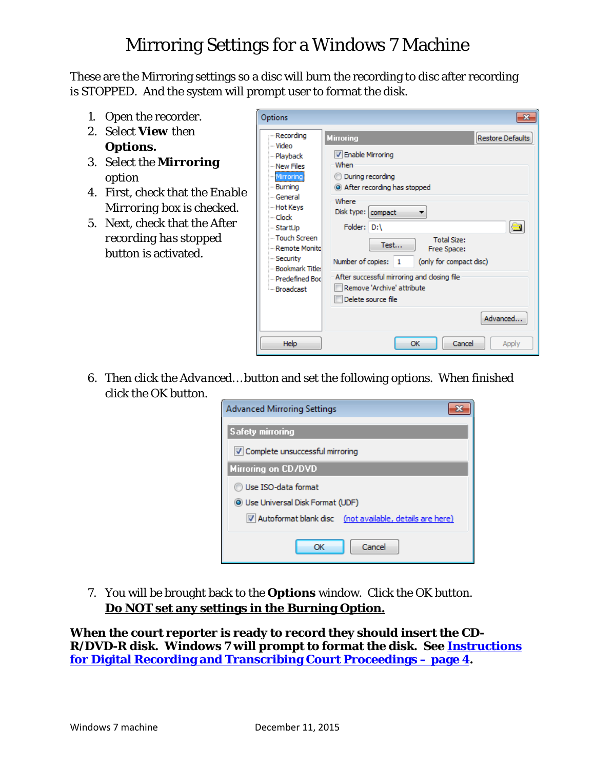## Mirroring Settings for a Windows 7 Machine

These are the Mirroring settings so a disc will burn the recording to disc after recording is STOPPED. And the system will prompt user to format the disk.

- 1. Open the recorder.
- 2. Select *View* then *Options.*
- 3. Select the *Mirroring* option
- 4. First, check that the *Enable Mirroring* box is checked.
- 5. Next, check that the *After recording has stopped* button is activated.



6. Then click the *Advanced…* button and set the following options. When finished click the *OK* button.

| Advanced Mirroring Settings                             |  |  |
|---------------------------------------------------------|--|--|
| <b>Safety mirroring</b>                                 |  |  |
| √ Complete unsuccessful mirroring                       |  |  |
| <b>Mirroring on CD/DVD</b>                              |  |  |
| Use ISO-data format                                     |  |  |
| <b>O</b> Use Universal Disk Format (UDF)                |  |  |
| Autoformat blank disc (not available, details are here) |  |  |
| Cancel<br>OК                                            |  |  |

7. You will be brought back to the *Options* window. Click the *OK* button. **Do NOT set any settings in the Burning Option.**

**When the court reporter is ready to record they should insert the CD-R/DVD-R disk. Windows 7 will prompt to format the disk. See [Instructions](http://www.tncourts.gov/sites/default/files/docs/instructions_for_digital_recording_and_transcribing_court_proceedings_w7_users.pdf)  [for Digital Recording and Transcribing Court Proceedings –](http://www.tncourts.gov/sites/default/files/docs/instructions_for_digital_recording_and_transcribing_court_proceedings_w7_users.pdf) page 4.**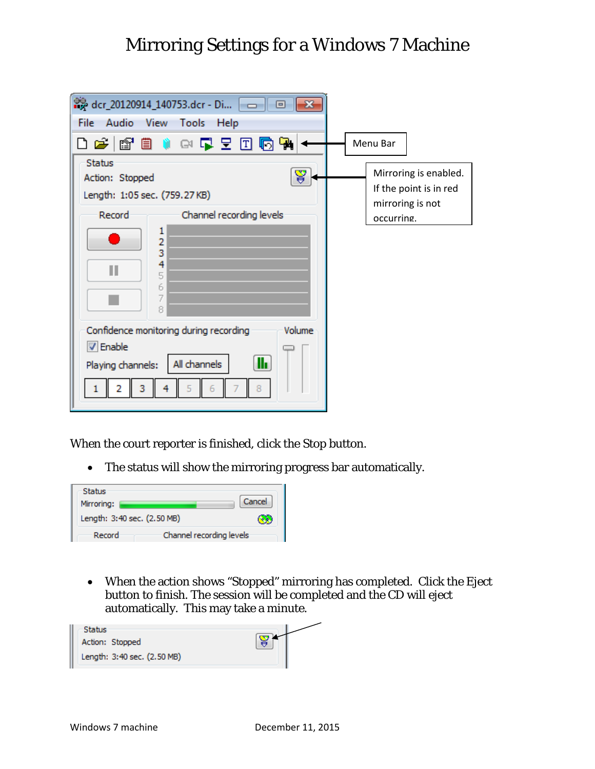## Mirroring Settings for a Windows 7 Machine

| -23<br>File Audio View<br>Tools<br><b>Help</b><br>口声 电自动电压 口<br>响偶<br><b>Status</b>                                       | Menu Bar                                                            |
|---------------------------------------------------------------------------------------------------------------------------|---------------------------------------------------------------------|
| ¥<br>Action: Stopped<br>Length: 1:05 sec. (759.27 KB)                                                                     | Mirroring is enabled.<br>If the point is in red<br>mirroring is not |
| Record-<br>Channel recording levels<br>ı<br>2<br>3<br>4<br>Ш<br>5<br>6<br>7<br>8                                          | occurring.                                                          |
| Confidence monitoring during recording<br>Volume<br><b>V</b> Enable<br>lh.<br>All channels<br>Playing channels:<br>з<br>ь |                                                                     |

When the court reporter is finished, click the Stop button.

• The status will show the mirroring progress bar automatically.

| Status<br>Cancel<br>Mirroring:<br>Length: 3:40 sec. (2.50 MB)<br>Channel recording levels<br>Record |  |  |
|-----------------------------------------------------------------------------------------------------|--|--|
|                                                                                                     |  |  |
|                                                                                                     |  |  |

• When the action shows "Stopped" mirroring has completed. Click the Eject button to finish. The session will be completed and the CD will eject automatically. This may take a minute.

| Status<br>Action: Stopped<br>Length: 3:40 sec. (2.50 MB) |  |
|----------------------------------------------------------|--|
|                                                          |  |